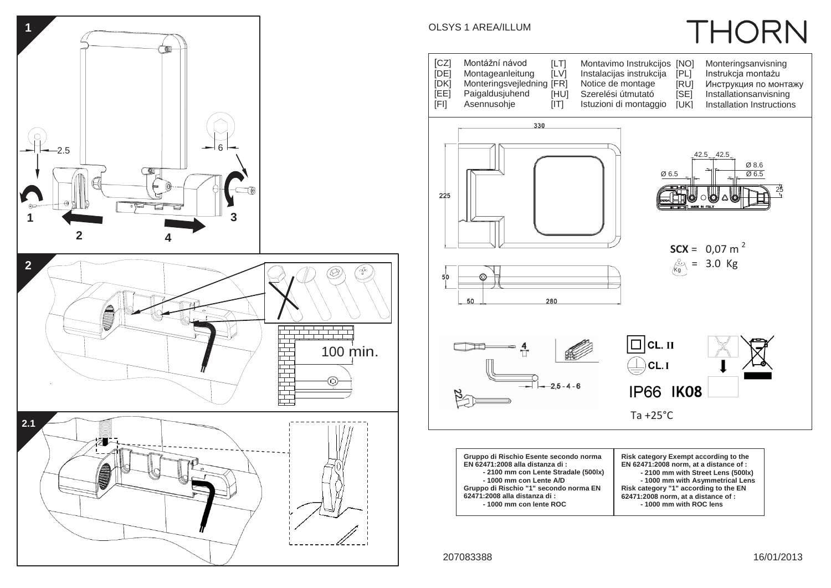

## **THORN** OLSYS 1 AREA/ILLUM [CZ] Montážní návod<br>[DE] Montageanleitun [LT] Montavimo Instrukcijos [NO]<br>[LV] Instalacijas instrukcija [PL] [NO] Monteringsanvisning<br>[PL] Instrukcja montażu Montageanleitung Instalacijas instrukcija [PL] Instrukcja montażu<br>[RU] Инструкция по мон [DK] Monteringsvejledning [FR]<br>[EE] Paigaldusjuhend [HU] Notice de montage [RU] Инструкция по монтажу<br>[SE] Installationsanvisning Paigaldusjuhend [HU] Szerelési útmutató<br>[IT] Istuzioni di montago Installationsanvisning [FI] Asennusohje Istuzioni di montaggio [UK] Installation Instructions 330 42.5 42.5 Ø 8.6 Ø 6.5  $Q$  6.5 25 $225$ **SCX** =  $0,07$  m<sup>2</sup>  $\frac{1}{K_g}$  = 3.0 Kg  $50$ 280 50  $\Box$ CL. II  $\bigoplus$  $CL.I$  $-25 - 4 - 6$ **IP66 IK08** Ta +25°C

| Gruppo di Rischio Esente secondo norma<br>EN 62471:2008 alla distanza di:<br>- 2100 mm con Lente Stradale (500lx)<br>- 1000 mm con Lente A/D<br>Gruppo di Rischio "1" secondo norma EN<br>62471:2008 alla distanza di : | Risk category Exempt according to the<br>EN 62471:2008 norm, at a distance of :<br>- 2100 mm with Street Lens (500lx)<br>- 1000 mm with Asymmetrical Lens<br>Risk category "1" according to the EN<br>62471:2008 norm, at a distance of : |  |
|-------------------------------------------------------------------------------------------------------------------------------------------------------------------------------------------------------------------------|-------------------------------------------------------------------------------------------------------------------------------------------------------------------------------------------------------------------------------------------|--|
| -1000 mm con lente ROC                                                                                                                                                                                                  | -1000 mm with ROC lens                                                                                                                                                                                                                    |  |

207083388 16/01/2013